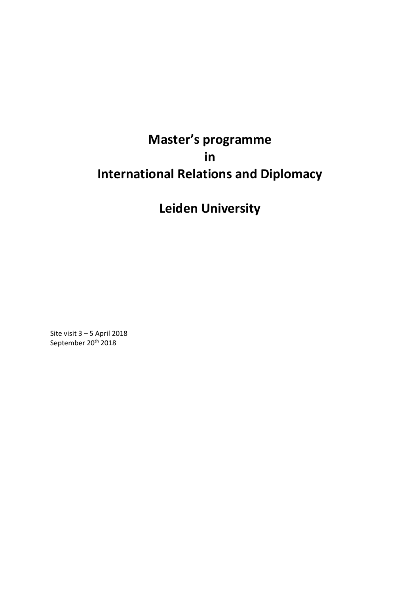# **Master's programme in International Relations and Diplomacy**

**Leiden University**

Site visit 3 – 5 April 2018 September 20<sup>th</sup> 2018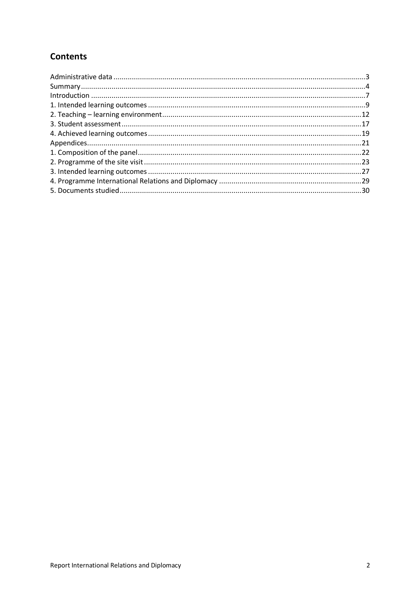## **Contents**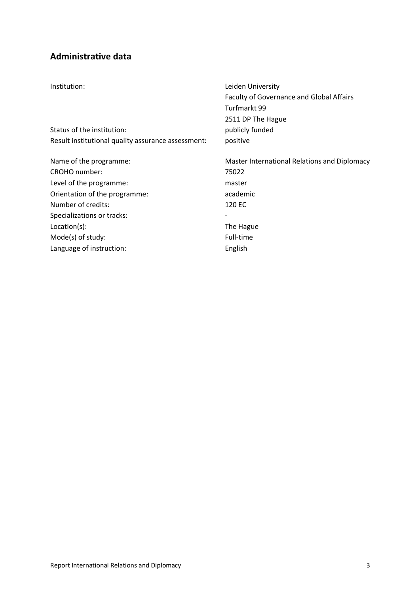## **Administrative data**

| Institution:                                       | Leiden University                               |
|----------------------------------------------------|-------------------------------------------------|
|                                                    | <b>Faculty of Governance and Global Affairs</b> |
|                                                    | Turfmarkt 99                                    |
|                                                    | 2511 DP The Hague                               |
| Status of the institution:                         | publicly funded                                 |
| Result institutional quality assurance assessment: | positive                                        |
| Name of the programme:                             | Master International Relations and Diplomacy    |
| CROHO number:                                      | 75022                                           |
| Level of the programme:                            | master                                          |
| Orientation of the programme:                      | academic                                        |
| Number of credits:                                 | 120 EC                                          |
| Specializations or tracks:                         |                                                 |
| Location(s):                                       | The Hague                                       |
| Mode(s) of study:                                  | Full-time                                       |
| Language of instruction:                           | English                                         |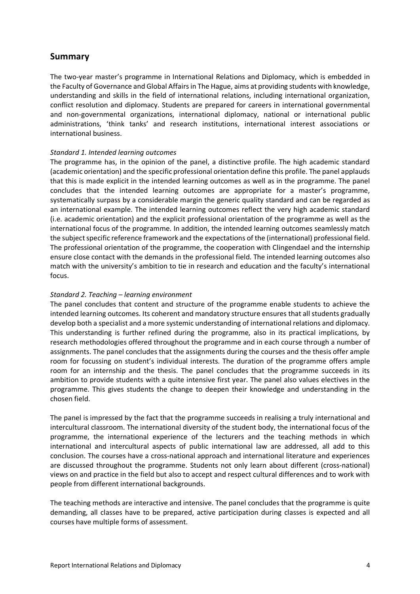## **Summary**

The two-year master's programme in International Relations and Diplomacy, which is embedded in the Faculty of Governance and Global Affairs in The Hague, aims at providing students with knowledge, understanding and skills in the field of international relations, including international organization, conflict resolution and diplomacy. Students are prepared for careers in international governmental and non-governmental organizations, international diplomacy, national or international public administrations, 'think tanks' and research institutions, international interest associations or international business.

#### *Standard 1. Intended learning outcomes*

The programme has, in the opinion of the panel, a distinctive profile. The high academic standard (academic orientation) and the specific professional orientation define this profile. The panel applauds that this is made explicit in the intended learning outcomes as well as in the programme. The panel concludes that the intended learning outcomes are appropriate for a master's programme, systematically surpass by a considerable margin the generic quality standard and can be regarded as an international example. The intended learning outcomes reflect the very high academic standard (i.e. academic orientation) and the explicit professional orientation of the programme as well as the international focus of the programme. In addition, the intended learning outcomes seamlessly match the subject specific reference framework and the expectations of the (international) professional field. The professional orientation of the programme, the cooperation with Clingendael and the internship ensure close contact with the demands in the professional field. The intended learning outcomes also match with the university's ambition to tie in research and education and the faculty's international focus.

#### *Standard 2. Teaching – learning environment*

The panel concludes that content and structure of the programme enable students to achieve the intended learning outcomes. Its coherent and mandatory structure ensures that all students gradually develop both a specialist and a more systemic understanding of international relations and diplomacy. This understanding is further refined during the programme, also in its practical implications, by research methodologies offered throughout the programme and in each course through a number of assignments. The panel concludes that the assignments during the courses and the thesis offer ample room for focussing on student's individual interests. The duration of the programme offers ample room for an internship and the thesis. The panel concludes that the programme succeeds in its ambition to provide students with a quite intensive first year. The panel also values electives in the programme. This gives students the change to deepen their knowledge and understanding in the chosen field.

The panel is impressed by the fact that the programme succeeds in realising a truly international and intercultural classroom. The international diversity of the student body, the international focus of the programme, the international experience of the lecturers and the teaching methods in which international and intercultural aspects of public international law are addressed, all add to this conclusion. The courses have a cross-national approach and international literature and experiences are discussed throughout the programme. Students not only learn about different (cross-national) views on and practice in the field but also to accept and respect cultural differences and to work with people from different international backgrounds.

The teaching methods are interactive and intensive. The panel concludes that the programme is quite demanding, all classes have to be prepared, active participation during classes is expected and all courses have multiple forms of assessment.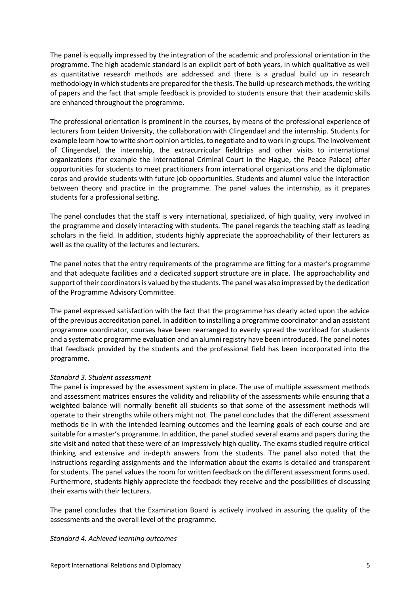The panel is equally impressed by the integration of the academic and professional orientation in the programme. The high academic standard is an explicit part of both years, in which qualitative as well as quantitative research methods are addressed and there is a gradual build up in research methodology in which students are prepared for the thesis. The build-up research methods, the writing of papers and the fact that ample feedback is provided to students ensure that their academic skills are enhanced throughout the programme.

The professional orientation is prominent in the courses, by means of the professional experience of lecturers from Leiden University, the collaboration with Clingendael and the internship. Students for example learn how to write short opinion articles, to negotiate and to work in groups. The involvement of Clingendael, the internship, the extracurricular fieldtrips and other visits to international organizations (for example the International Criminal Court in the Hague, the Peace Palace) offer opportunities for students to meet practitioners from international organizations and the diplomatic corps and provide students with future job opportunities. Students and alumni value the interaction between theory and practice in the programme. The panel values the internship, as it prepares students for a professional setting.

The panel concludes that the staff is very international, specialized, of high quality, very involved in the programme and closely interacting with students. The panel regards the teaching staff as leading scholars in the field. In addition, students highly appreciate the approachability of their lecturers as well as the quality of the lectures and lecturers.

The panel notes that the entry requirements of the programme are fitting for a master's programme and that adequate facilities and a dedicated support structure are in place. The approachability and support of their coordinators is valued by the students. The panel was also impressed by the dedication of the Programme Advisory Committee.

The panel expressed satisfaction with the fact that the programme has clearly acted upon the advice of the previous accreditation panel. In addition to installing a programme coordinator and an assistant programme coordinator, courses have been rearranged to evenly spread the workload for students and a systematic programme evaluation and an alumni registry have been introduced. The panel notes that feedback provided by the students and the professional field has been incorporated into the programme.

#### *Standard 3. Student assessment*

The panel is impressed by the assessment system in place. The use of multiple assessment methods and assessment matrices ensures the validity and reliability of the assessments while ensuring that a weighted balance will normally benefit all students so that some of the assessment methods will operate to their strengths while others might not. The panel concludes that the different assessment methods tie in with the intended learning outcomes and the learning goals of each course and are suitable for a master's programme. In addition, the panel studied several exams and papers during the site visit and noted that these were of an impressively high quality. The exams studied require critical thinking and extensive and in-depth answers from the students. The panel also noted that the instructions regarding assignments and the information about the exams is detailed and transparent for students. The panel values the room for written feedback on the different assessment forms used. Furthermore, students highly appreciate the feedback they receive and the possibilities of discussing their exams with their lecturers.

The panel concludes that the Examination Board is actively involved in assuring the quality of the assessments and the overall level of the programme.

#### *Standard 4. Achieved learning outcomes*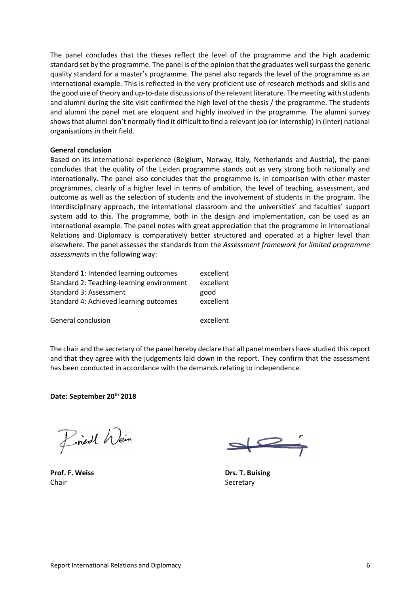The panel concludes that the theses reflect the level of the programme and the high academic standard set by the programme. The panel is of the opinion that the graduates well surpass the generic quality standard for a master's programme. The panel also regards the level of the programme as an international example. This is reflected in the very proficient use of research methods and skills and the good use of theory and up-to-date discussions of the relevant literature. The meeting with students and alumni during the site visit confirmed the high level of the thesis / the programme. The students and alumni the panel met are eloquent and highly involved in the programme. The alumni survey shows that alumni don't normally find it difficult to find a relevant job (or internship) in (inter) national organisations in their field.

#### **General conclusion**

Based on its international experience (Belgium, Norway, Italy, Netherlands and Austria), the panel concludes that the quality of the Leiden programme stands out as very strong both nationally and internationally. The panel also concludes that the programme is, in comparison with other master programmes, clearly of a higher level in terms of ambition, the level of teaching, assessment, and outcome as well as the selection of students and the involvement of students in the program. The interdisciplinary approach, the international classroom and the universities' and faculties' support system add to this. The programme, both in the design and implementation, can be used as an international example The nanel nates with great approximation that the programme in International international example. The panel notes with great appreciation that the programme in International Relations and Diplomacy is comparatively better structured and operated at a higher level than relations and *Diplomacy* is comparatively setter stractured and operated at a inglier fever than<br>elsewhere. The panel assesses the standards from the *Assessment framework for limited programme* assessments in the following way: **Example 2018** 

| Standard 1: Intended learning outcomes    | excellent |
|-------------------------------------------|-----------|
| Standard 2: Teaching-learning environment | excellent |
| Standard 3: Assessment                    | good      |
| Standard 4: Achieved learning outcomes    | excellent |
| General conclusion                        | excellent |

The chair and the secretary of the panel hereby declare that all panel members have studied this report and that they agree with the judgements laid down in the report. They confirm that the assessment has been conducted in accordance with the demands relating to independence.

**Date: September 20th 2018**

Find Wein

Chair Secretary Secretary Secretary Secretary Secretary Secretary Secretary Secretary

**Prof. F. Weiss Drs. T. Buising** air **Secretary**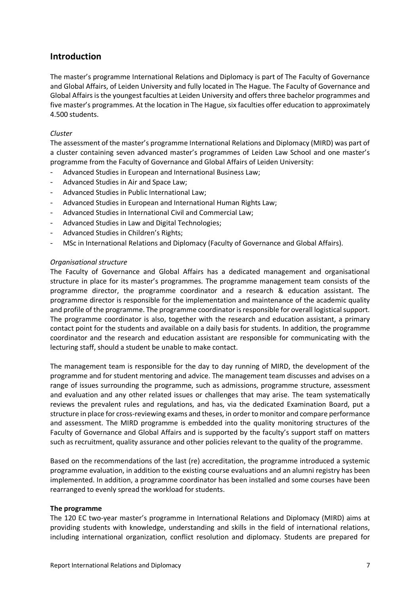## **Introduction**

The master's programme International Relations and Diplomacy is part of The Faculty of Governance and Global Affairs, of Leiden University and fully located in The Hague. The Faculty of Governance and Global Affairs is the youngest faculties at Leiden University and offers three bachelor programmes and five master's programmes. At the location in The Hague, six faculties offer education to approximately 4.500 students.

#### *Cluster*

The assessment of the master's programme International Relations and Diplomacy (MIRD) was part of a cluster containing seven advanced master's programmes of Leiden Law School and one master's programme from the Faculty of Governance and Global Affairs of Leiden University:

- Advanced Studies in European and International Business Law;
- Advanced Studies in Air and Space Law;
- Advanced Studies in Public International Law;
- Advanced Studies in European and International Human Rights Law;
- Advanced Studies in International Civil and Commercial Law;
- Advanced Studies in Law and Digital Technologies;
- Advanced Studies in Children's Rights;
- MSc in International Relations and Diplomacy (Faculty of Governance and Global Affairs).

#### *Organisational structure*

The Faculty of Governance and Global Affairs has a dedicated management and organisational structure in place for its master's programmes. The programme management team consists of the programme director, the programme coordinator and a research & education assistant. The programme director is responsible for the implementation and maintenance of the academic quality and profile of the programme. The programme coordinator is responsible for overall logistical support. The programme coordinator is also, together with the research and education assistant, a primary contact point for the students and available on a daily basis for students. In addition, the programme coordinator and the research and education assistant are responsible for communicating with the lecturing staff, should a student be unable to make contact.

The management team is responsible for the day to day running of MIRD, the development of the programme and for student mentoring and advice. The management team discusses and advises on a range of issues surrounding the programme, such as admissions, programme structure, assessment and evaluation and any other related issues or challenges that may arise. The team systematically reviews the prevalent rules and regulations, and has, via the dedicated Examination Board, put a structure in place for cross-reviewing exams and theses, in order to monitor and compare performance and assessment. The MIRD programme is embedded into the quality monitoring structures of the Faculty of Governance and Global Affairs and is supported by the faculty's support staff on matters such as recruitment, quality assurance and other policies relevant to the quality of the programme.

Based on the recommendations of the last (re) accreditation, the programme introduced a systemic programme evaluation, in addition to the existing course evaluations and an alumni registry has been implemented. In addition, a programme coordinator has been installed and some courses have been rearranged to evenly spread the workload for students.

#### **The programme**

The 120 EC two-year master's programme in International Relations and Diplomacy (MIRD) aims at providing students with knowledge, understanding and skills in the field of international relations, including international organization, conflict resolution and diplomacy. Students are prepared for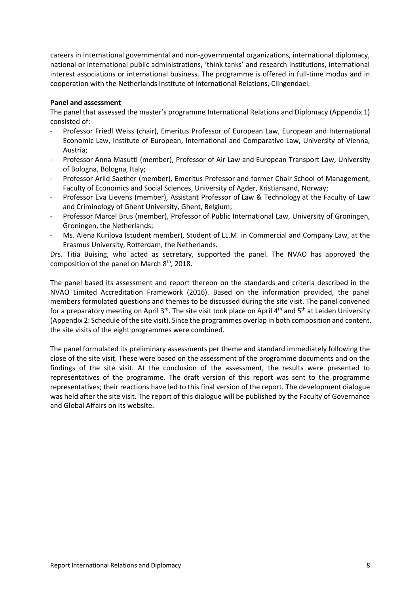careers in international governmental and non-governmental organizations, international diplomacy, national or international public administrations, 'think tanks' and research institutions, international interest associations or international business. The programme is offered in full-time modus and in cooperation with the Netherlands Institute of International Relations, Clingendael.

#### **Panel and assessment**

The panel that assessed the master's programme International Relations and Diplomacy (Appendix 1) consisted of:

- Professor Friedl Weiss (chair), Emeritus Professor of European Law, European and International Economic Law, Institute of European, International and Comparative Law, University of Vienna, Austria;
- Professor Anna Masutti (member), Professor of Air Law and European Transport Law, University of Bologna, Bologna, Italy;
- Professor Arild Saether (member), Emeritus Professor and former Chair School of Management, Faculty of Economics and Social Sciences, University of Agder, Kristiansand, Norway;
- Professor Eva Lievens (member), Assistant Professor of Law & Technology at the Faculty of Law and Criminology of Ghent University, Ghent, Belgium;
- Professor Marcel Brus (member), Professor of Public International Law, University of Groningen, Groningen, the Netherlands;
- Ms. Alena Kurilova (student member), Student of LL.M. in Commercial and Company Law, at the Erasmus University, Rotterdam, the Netherlands.

Drs. Titia Buising, who acted as secretary, supported the panel. The NVAO has approved the composition of the panel on March 8<sup>th</sup>, 2018.

The panel based its assessment and report thereon on the standards and criteria described in the NVAO Limited Accreditation Framework (2016). Based on the information provided, the panel members formulated questions and themes to be discussed during the site visit. The panel convened for a preparatory meeting on April 3<sup>rd</sup>. The site visit took place on April 4<sup>th</sup> and 5<sup>th</sup> at Leiden University (Appendix 2: Schedule of the site visit). Since the programmes overlap in both composition and content, the site visits of the eight programmes were combined.

The panel formulated its preliminary assessments per theme and standard immediately following the close of the site visit. These were based on the assessment of the programme documents and on the findings of the site visit. At the conclusion of the assessment, the results were presented to representatives of the programme. The draft version of this report was sent to the programme representatives; their reactions have led to this final version of the report. The development dialogue was held after the site visit. The report of this dialogue will be published by the Faculty of Governance and Global Affairs on its website.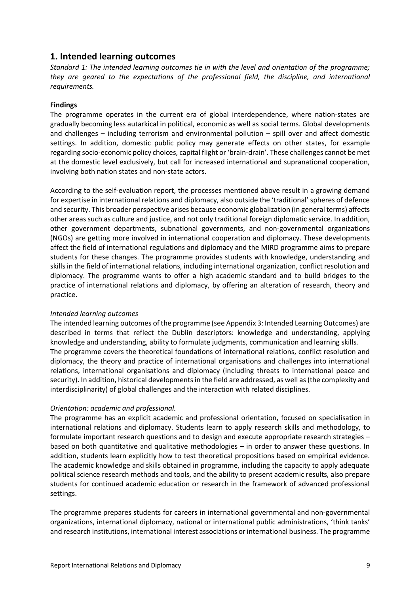## **1. Intended learning outcomes**

*Standard 1: The intended learning outcomes tie in with the level and orientation of the programme; they are geared to the expectations of the professional field, the discipline, and international requirements.*

#### **Findings**

The programme operates in the current era of global interdependence, where nation-states are gradually becoming less autarkical in political, economic as well as social terms. Global developments and challenges – including terrorism and environmental pollution – spill over and affect domestic settings. In addition, domestic public policy may generate effects on other states, for example regarding socio-economic policy choices, capital flight or 'brain-drain'. These challenges cannot be met at the domestic level exclusively, but call for increased international and supranational cooperation, involving both nation states and non-state actors.

According to the self-evaluation report, the processes mentioned above result in a growing demand for expertise in international relations and diplomacy, also outside the 'traditional' spheres of defence and security. This broader perspective arises because economic globalization (in general terms) affects other areas such as culture and justice, and not only traditional foreign diplomatic service. In addition, other government departments, subnational governments, and non-governmental organizations (NGOs) are getting more involved in international cooperation and diplomacy. These developments affect the field of international regulations and diplomacy and the MIRD programme aims to prepare students for these changes. The programme provides students with knowledge, understanding and skills in the field of international relations, including international organization, conflict resolution and diplomacy. The programme wants to offer a high academic standard and to build bridges to the practice of international relations and diplomacy, by offering an alteration of research, theory and practice.

#### *Intended learning outcomes*

The intended learning outcomes of the programme (see Appendix 3: Intended Learning Outcomes) are described in terms that reflect the Dublin descriptors: knowledge and understanding, applying knowledge and understanding, ability to formulate judgments, communication and learning skills. The programme covers the theoretical foundations of international relations, conflict resolution and diplomacy, the theory and practice of international organisations and challenges into international relations, international organisations and diplomacy (including threats to international peace and security). In addition, historical developments in the field are addressed, as well as (the complexity and interdisciplinarity) of global challenges and the interaction with related disciplines.

#### *Orientation: academic and professional.*

The programme has an explicit academic and professional orientation, focused on specialisation in international relations and diplomacy. Students learn to apply research skills and methodology, to formulate important research questions and to design and execute appropriate research strategies – based on both quantitative and qualitative methodologies – in order to answer these questions. In addition, students learn explicitly how to test theoretical propositions based on empirical evidence. The academic knowledge and skills obtained in programme, including the capacity to apply adequate political science research methods and tools, and the ability to present academic results, also prepare students for continued academic education or research in the framework of advanced professional settings.

The programme prepares students for careers in international governmental and non-governmental organizations, international diplomacy, national or international public administrations, 'think tanks' and research institutions, international interest associations or international business. The programme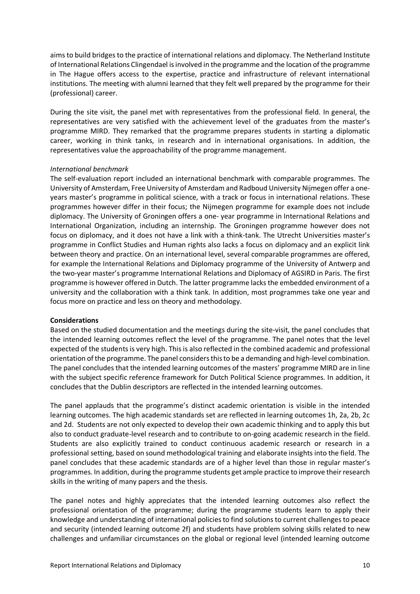aims to build bridges to the practice of international relations and diplomacy. The Netherland Institute of International Relations Clingendael is involved in the programme and the location of the programme in The Hague offers access to the expertise, practice and infrastructure of relevant international institutions. The meeting with alumni learned that they felt well prepared by the programme for their (professional) career.

During the site visit, the panel met with representatives from the professional field. In general, the representatives are very satisfied with the achievement level of the graduates from the master's programme MIRD. They remarked that the programme prepares students in starting a diplomatic career, working in think tanks, in research and in international organisations. In addition, the representatives value the approachability of the programme management.

#### *International benchmark*

The self-evaluation report included an international benchmark with comparable programmes. The University of Amsterdam, Free University of Amsterdam and Radboud University Nijmegen offer a oneyears master's programme in political science, with a track or focus in international relations. These programmes however differ in their focus; the Nijmegen programme for example does not include diplomacy. The University of Groningen offers a one- year programme in International Relations and International Organization, including an internship. The Groningen programme however does not focus on diplomacy, and it does not have a link with a think-tank. The Utrecht Universities master's programme in Conflict Studies and Human rights also lacks a focus on diplomacy and an explicit link between theory and practice. On an international level, several comparable programmes are offered, for example the International Relations and Diplomacy programme of the University of Antwerp and the two-year master's programme International Relations and Diplomacy of AGSIRD in Paris. The first programme is however offered in Dutch. The latter programme lacks the embedded environment of a university and the collaboration with a think tank. In addition, most programmes take one year and focus more on practice and less on theory and methodology.

#### **Considerations**

Based on the studied documentation and the meetings during the site-visit, the panel concludes that the intended learning outcomes reflect the level of the programme. The panel notes that the level expected of the students is very high. This is also reflected in the combined academic and professional orientation of the programme. The panel considers this to be a demanding and high-level combination. The panel concludes that the intended learning outcomes of the masters' programme MIRD are in line with the subject specific reference framework for Dutch Political Science programmes. In addition, it concludes that the Dublin descriptors are reflected in the intended learning outcomes.

The panel applauds that the programme's distinct academic orientation is visible in the intended learning outcomes. The high academic standards set are reflected in learning outcomes 1h, 2a, 2b, 2c and 2d. Students are not only expected to develop their own academic thinking and to apply this but also to conduct graduate-level research and to contribute to on-going academic research in the field. Students are also explicitly trained to conduct continuous academic research or research in a professional setting, based on sound methodological training and elaborate insights into the field. The panel concludes that these academic standards are of a higher level than those in regular master's programmes. In addition, during the programme students get ample practice to improve their research skills in the writing of many papers and the thesis.

The panel notes and highly appreciates that the intended learning outcomes also reflect the professional orientation of the programme; during the programme students learn to apply their knowledge and understanding of international policies to find solutions to current challenges to peace and security (intended learning outcome 2f) and students have problem solving skills related to new challenges and unfamiliar circumstances on the global or regional level (intended learning outcome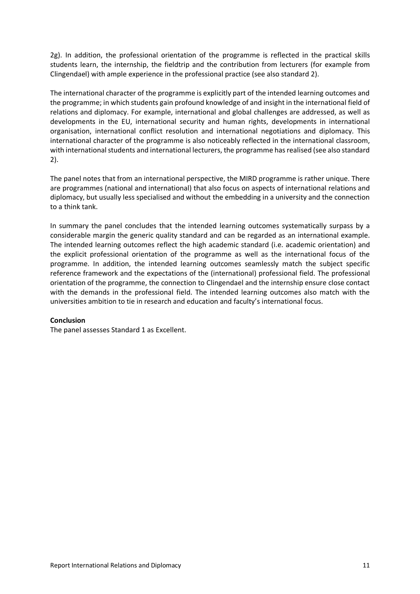2g). In addition, the professional orientation of the programme is reflected in the practical skills students learn, the internship, the fieldtrip and the contribution from lecturers (for example from Clingendael) with ample experience in the professional practice (see also standard 2).

The international character of the programme is explicitly part of the intended learning outcomes and the programme; in which students gain profound knowledge of and insight in the international field of relations and diplomacy. For example, international and global challenges are addressed, as well as developments in the EU, international security and human rights, developments in international organisation, international conflict resolution and international negotiations and diplomacy. This international character of the programme is also noticeably reflected in the international classroom, with international students and international lecturers, the programme has realised (see also standard 2).

The panel notes that from an international perspective, the MIRD programme is rather unique. There are programmes (national and international) that also focus on aspects of international relations and diplomacy, but usually less specialised and without the embedding in a university and the connection to a think tank.

In summary the panel concludes that the intended learning outcomes systematically surpass by a considerable margin the generic quality standard and can be regarded as an international example. The intended learning outcomes reflect the high academic standard (i.e. academic orientation) and the explicit professional orientation of the programme as well as the international focus of the programme. In addition, the intended learning outcomes seamlessly match the subject specific reference framework and the expectations of the (international) professional field. The professional orientation of the programme, the connection to Clingendael and the internship ensure close contact with the demands in the professional field. The intended learning outcomes also match with the universities ambition to tie in research and education and faculty's international focus.

#### **Conclusion**

The panel assesses Standard 1 as Excellent.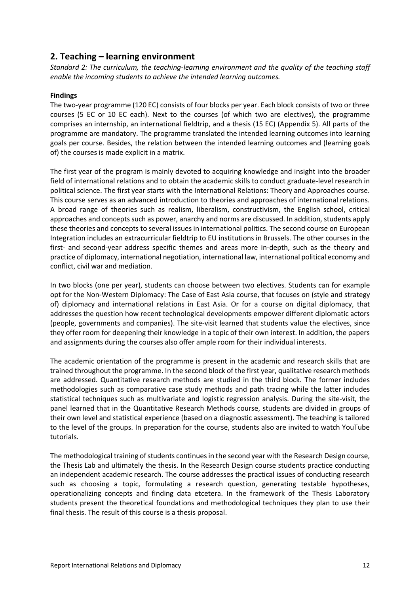## **2. Teaching – learning environment**

*Standard 2: The curriculum, the teaching-learning environment and the quality of the teaching staff enable the incoming students to achieve the intended learning outcomes.*

#### **Findings**

The two-year programme (120 EC) consists of four blocks per year. Each block consists of two or three courses (5 EC or 10 EC each). Next to the courses (of which two are electives), the programme comprises an internship, an international fieldtrip, and a thesis (15 EC) (Appendix 5). All parts of the programme are mandatory. The programme translated the intended learning outcomes into learning goals per course. Besides, the relation between the intended learning outcomes and (learning goals of) the courses is made explicit in a matrix.

The first year of the program is mainly devoted to acquiring knowledge and insight into the broader field of international relations and to obtain the academic skills to conduct graduate-level research in political science. The first year starts with the International Relations: Theory and Approaches course. This course serves as an advanced introduction to theories and approaches of international relations. A broad range of theories such as realism, liberalism, constructivism, the English school, critical approaches and concepts such as power, anarchy and norms are discussed. In addition, students apply these theories and concepts to several issues in international politics. The second course on European Integration includes an extracurricular fieldtrip to EU institutions in Brussels. The other courses in the first- and second-year address specific themes and areas more in-depth, such as the theory and practice of diplomacy, international negotiation, international law, international political economy and conflict, civil war and mediation.

In two blocks (one per year), students can choose between two electives. Students can for example opt for the Non-Western Diplomacy: The Case of East Asia course, that focuses on (style and strategy of) diplomacy and international relations in East Asia. Or for a course on digital diplomacy, that addresses the question how recent technological developments empower different diplomatic actors (people, governments and companies). The site-visit learned that students value the electives, since they offer room for deepening their knowledge in a topic of their own interest. In addition, the papers and assignments during the courses also offer ample room for their individual interests.

The academic orientation of the programme is present in the academic and research skills that are trained throughout the programme. In the second block of the first year, qualitative research methods are addressed. Quantitative research methods are studied in the third block. The former includes methodologies such as comparative case study methods and path tracing while the latter includes statistical techniques such as multivariate and logistic regression analysis. During the site-visit, the panel learned that in the Quantitative Research Methods course, students are divided in groups of their own level and statistical experience (based on a diagnostic assessment). The teaching is tailored to the level of the groups. In preparation for the course, students also are invited to watch YouTube tutorials.

The methodological training of students continues in the second year with the Research Design course, the Thesis Lab and ultimately the thesis. In the Research Design course students practice conducting an independent academic research. The course addresses the practical issues of conducting research such as choosing a topic, formulating a research question, generating testable hypotheses, operationalizing concepts and finding data etcetera. In the framework of the Thesis Laboratory students present the theoretical foundations and methodological techniques they plan to use their final thesis. The result of this course is a thesis proposal.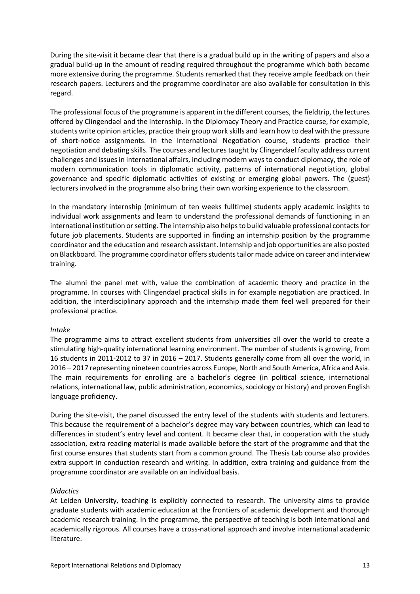During the site-visit it became clear that there is a gradual build up in the writing of papers and also a gradual build-up in the amount of reading required throughout the programme which both become more extensive during the programme. Students remarked that they receive ample feedback on their research papers. Lecturers and the programme coordinator are also available for consultation in this regard.

The professional focus of the programme is apparent in the different courses, the fieldtrip, the lectures offered by Clingendael and the internship. In the Diplomacy Theory and Practice course, for example, students write opinion articles, practice their group work skills and learn how to deal with the pressure of short-notice assignments. In the International Negotiation course, students practice their negotiation and debating skills. The courses and lectures taught by Clingendael faculty address current challenges and issues in international affairs, including modern ways to conduct diplomacy, the role of modern communication tools in diplomatic activity, patterns of international negotiation, global governance and specific diplomatic activities of existing or emerging global powers. The (guest) lecturers involved in the programme also bring their own working experience to the classroom.

In the mandatory internship (minimum of ten weeks fulltime) students apply academic insights to individual work assignments and learn to understand the professional demands of functioning in an international institution or setting. The internship also helps to build valuable professional contacts for future job placements. Students are supported in finding an internship position by the programme coordinator and the education and research assistant. Internship and job opportunities are also posted on Blackboard. The programme coordinator offersstudents tailor made advice on career and interview training.

The alumni the panel met with, value the combination of academic theory and practice in the programme. In courses with Clingendael practical skills in for example negotiation are practiced. In addition, the interdisciplinary approach and the internship made them feel well prepared for their professional practice.

#### *Intake*

The programme aims to attract excellent students from universities all over the world to create a stimulating high-quality international learning environment. The number of students is growing, from 16 students in 2011-2012 to 37 in 2016 – 2017. Students generally come from all over the world, in 2016 – 2017 representing nineteen countries across Europe, North and South America, Africa and Asia. The main requirements for enrolling are a bachelor's degree (in political science, international relations, international law, public administration, economics, sociology or history) and proven English language proficiency.

During the site-visit, the panel discussed the entry level of the students with students and lecturers. This because the requirement of a bachelor's degree may vary between countries, which can lead to differences in student's entry level and content. It became clear that, in cooperation with the study association, extra reading material is made available before the start of the programme and that the first course ensures that students start from a common ground. The Thesis Lab course also provides extra support in conduction research and writing. In addition, extra training and guidance from the programme coordinator are available on an individual basis.

#### *Didactics*

At Leiden University, teaching is explicitly connected to research. The university aims to provide graduate students with academic education at the frontiers of academic development and thorough academic research training. In the programme, the perspective of teaching is both international and academically rigorous. All courses have a cross-national approach and involve international academic literature.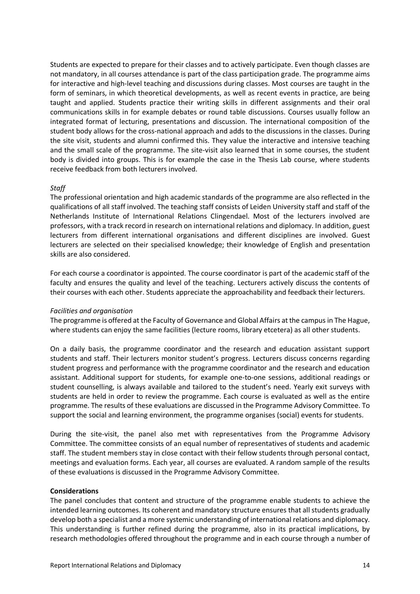Students are expected to prepare for their classes and to actively participate. Even though classes are not mandatory, in all courses attendance is part of the class participation grade. The programme aims for interactive and high-level teaching and discussions during classes. Most courses are taught in the form of seminars, in which theoretical developments, as well as recent events in practice, are being taught and applied. Students practice their writing skills in different assignments and their oral communications skills in for example debates or round table discussions. Courses usually follow an integrated format of lecturing, presentations and discussion. The international composition of the student body allows for the cross-national approach and adds to the discussions in the classes. During the site visit, students and alumni confirmed this. They value the interactive and intensive teaching and the small scale of the programme. The site-visit also learned that in some courses, the student body is divided into groups. This is for example the case in the Thesis Lab course, where students receive feedback from both lecturers involved.

#### *Staff*

The professional orientation and high academic standards of the programme are also reflected in the qualifications of all staff involved. The teaching staff consists of Leiden University staff and staff of the Netherlands Institute of International Relations Clingendael. Most of the lecturers involved are professors, with a track record in research on international relations and diplomacy. In addition, guest lecturers from different international organisations and different disciplines are involved. Guest lecturers are selected on their specialised knowledge; their knowledge of English and presentation skills are also considered.

For each course a coordinator is appointed. The course coordinator is part of the academic staff of the faculty and ensures the quality and level of the teaching. Lecturers actively discuss the contents of their courses with each other. Students appreciate the approachability and feedback their lecturers.

#### *Facilities and organisation*

The programme is offered at the Faculty of Governance and Global Affairs at the campus in The Hague, where students can enjoy the same facilities (lecture rooms, library etcetera) as all other students.

On a daily basis, the programme coordinator and the research and education assistant support students and staff. Their lecturers monitor student's progress. Lecturers discuss concerns regarding student progress and performance with the programme coordinator and the research and education assistant. Additional support for students, for example one-to-one sessions, additional readings or student counselling, is always available and tailored to the student's need. Yearly exit surveys with students are held in order to review the programme. Each course is evaluated as well as the entire programme. The results of these evaluations are discussed in the Programme Advisory Committee. To support the social and learning environment, the programme organises (social) events for students.

During the site-visit, the panel also met with representatives from the Programme Advisory Committee. The committee consists of an equal number of representatives of students and academic staff. The student members stay in close contact with their fellow students through personal contact, meetings and evaluation forms. Each year, all courses are evaluated. A random sample of the results of these evaluations is discussed in the Programme Advisory Committee.

#### **Considerations**

The panel concludes that content and structure of the programme enable students to achieve the intended learning outcomes. Its coherent and mandatory structure ensures that all students gradually develop both a specialist and a more systemic understanding of international relations and diplomacy. This understanding is further refined during the programme, also in its practical implications, by research methodologies offered throughout the programme and in each course through a number of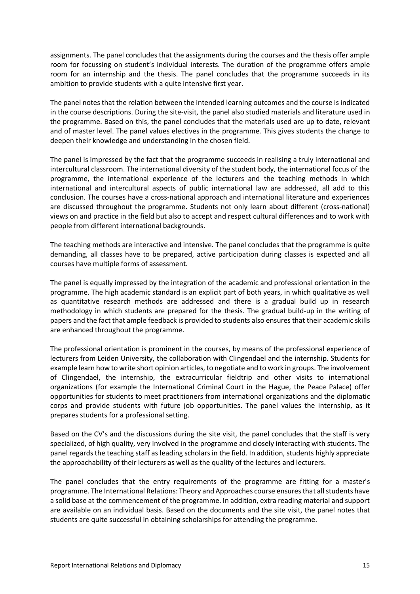assignments. The panel concludes that the assignments during the courses and the thesis offer ample room for focussing on student's individual interests. The duration of the programme offers ample room for an internship and the thesis. The panel concludes that the programme succeeds in its ambition to provide students with a quite intensive first year.

The panel notes that the relation between the intended learning outcomes and the course is indicated in the course descriptions. During the site-visit, the panel also studied materials and literature used in the programme. Based on this, the panel concludes that the materials used are up to date, relevant and of master level. The panel values electives in the programme. This gives students the change to deepen their knowledge and understanding in the chosen field.

The panel is impressed by the fact that the programme succeeds in realising a truly international and intercultural classroom. The international diversity of the student body, the international focus of the programme, the international experience of the lecturers and the teaching methods in which international and intercultural aspects of public international law are addressed, all add to this conclusion. The courses have a cross-national approach and international literature and experiences are discussed throughout the programme. Students not only learn about different (cross-national) views on and practice in the field but also to accept and respect cultural differences and to work with people from different international backgrounds.

The teaching methods are interactive and intensive. The panel concludes that the programme is quite demanding, all classes have to be prepared, active participation during classes is expected and all courses have multiple forms of assessment.

The panel is equally impressed by the integration of the academic and professional orientation in the programme. The high academic standard is an explicit part of both years, in which qualitative as well as quantitative research methods are addressed and there is a gradual build up in research methodology in which students are prepared for the thesis. The gradual build-up in the writing of papers and the fact that ample feedback is provided to students also ensures that their academic skills are enhanced throughout the programme.

The professional orientation is prominent in the courses, by means of the professional experience of lecturers from Leiden University, the collaboration with Clingendael and the internship. Students for example learn how to write short opinion articles, to negotiate and to work in groups. The involvement of Clingendael, the internship, the extracurricular fieldtrip and other visits to international organizations (for example the International Criminal Court in the Hague, the Peace Palace) offer opportunities for students to meet practitioners from international organizations and the diplomatic corps and provide students with future job opportunities. The panel values the internship, as it prepares students for a professional setting.

Based on the CV's and the discussions during the site visit, the panel concludes that the staff is very specialized, of high quality, very involved in the programme and closely interacting with students. The panel regards the teaching staff as leading scholars in the field. In addition, students highly appreciate the approachability of their lecturers as well as the quality of the lectures and lecturers.

The panel concludes that the entry requirements of the programme are fitting for a master's programme. The International Relations: Theory and Approaches course ensures that all students have a solid base at the commencement of the programme. In addition, extra reading material and support are available on an individual basis. Based on the documents and the site visit, the panel notes that students are quite successful in obtaining scholarships for attending the programme.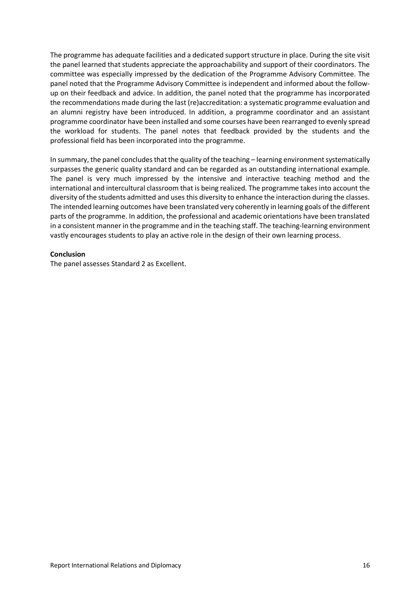The programme has adequate facilities and a dedicated support structure in place. During the site visit the panel learned that students appreciate the approachability and support of their coordinators. The committee was especially impressed by the dedication of the Programme Advisory Committee. The panel noted that the Programme Advisory Committee is independent and informed about the followup on their feedback and advice. In addition, the panel noted that the programme has incorporated the recommendations made during the last (re)accreditation: a systematic programme evaluation and an alumni registry have been introduced. In addition, a programme coordinator and an assistant programme coordinator have been installed and some courses have been rearranged to evenly spread the workload for students. The panel notes that feedback provided by the students and the professional field has been incorporated into the programme.

In summary, the panel concludes that the quality of the teaching – learning environment systematically surpasses the generic quality standard and can be regarded as an outstanding international example. The panel is very much impressed by the intensive and interactive teaching method and the international and intercultural classroom that is being realized. The programme takes into account the diversity of the students admitted and uses this diversity to enhance the interaction during the classes. The intended learning outcomes have been translated very coherently in learning goals of the different parts of the programme. In addition, the professional and academic orientations have been translated in a consistent manner in the programme and in the teaching staff. The teaching-learning environment vastly encourages students to play an active role in the design of their own learning process.

#### **Conclusion**

The panel assesses Standard 2 as Excellent.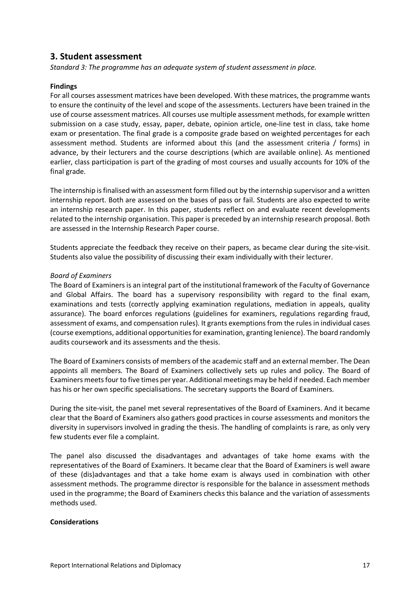## **3. Student assessment**

*Standard 3: The programme has an adequate system of student assessment in place.*

#### **Findings**

For all courses assessment matrices have been developed. With these matrices, the programme wants to ensure the continuity of the level and scope of the assessments. Lecturers have been trained in the use of course assessment matrices. All courses use multiple assessment methods, for example written submission on a case study, essay, paper, debate, opinion article, one-line test in class, take home exam or presentation. The final grade is a composite grade based on weighted percentages for each assessment method. Students are informed about this (and the assessment criteria / forms) in advance, by their lecturers and the course descriptions (which are available online). As mentioned earlier, class participation is part of the grading of most courses and usually accounts for 10% of the final grade.

The internship is finalised with an assessment form filled out by the internship supervisor and a written internship report. Both are assessed on the bases of pass or fail. Students are also expected to write an internship research paper. In this paper, students reflect on and evaluate recent developments related to the internship organisation. This paper is preceded by an internship research proposal. Both are assessed in the Internship Research Paper course.

Students appreciate the feedback they receive on their papers, as became clear during the site-visit. Students also value the possibility of discussing their exam individually with their lecturer.

#### *Board of Examiners*

The Board of Examinersis an integral part of the institutional framework of the Faculty of Governance and Global Affairs. The board has a supervisory responsibility with regard to the final exam, examinations and tests (correctly applying examination regulations, mediation in appeals, quality assurance). The board enforces regulations (guidelines for examiners, regulations regarding fraud, assessment of exams, and compensation rules). It grants exemptions from the rules in individual cases (course exemptions, additional opportunities for examination, granting lenience). The board randomly audits coursework and its assessments and the thesis.

The Board of Examiners consists of members of the academic staff and an external member. The Dean appoints all members. The Board of Examiners collectively sets up rules and policy. The Board of Examiners meets four to five times per year. Additional meetings may be held if needed. Each member has his or her own specific specialisations. The secretary supports the Board of Examiners.

During the site-visit, the panel met several representatives of the Board of Examiners. And it became clear that the Board of Examiners also gathers good practices in course assessments and monitors the diversity in supervisors involved in grading the thesis. The handling of complaints is rare, as only very few students ever file a complaint.

The panel also discussed the disadvantages and advantages of take home exams with the representatives of the Board of Examiners. It became clear that the Board of Examiners is well aware of these (dis)advantages and that a take home exam is always used in combination with other assessment methods. The programme director is responsible for the balance in assessment methods used in the programme; the Board of Examiners checks this balance and the variation of assessments methods used.

#### **Considerations**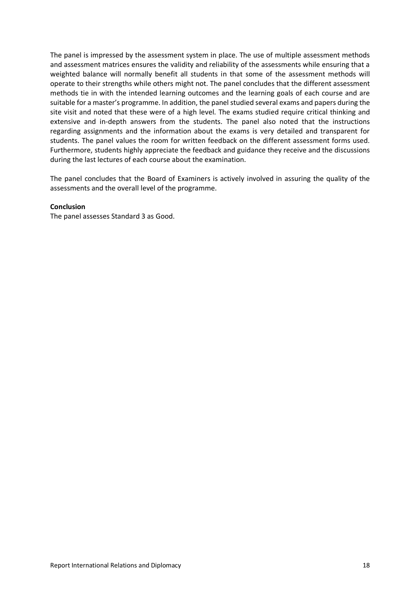The panel is impressed by the assessment system in place. The use of multiple assessment methods and assessment matrices ensures the validity and reliability of the assessments while ensuring that a weighted balance will normally benefit all students in that some of the assessment methods will operate to their strengths while others might not. The panel concludes that the different assessment methods tie in with the intended learning outcomes and the learning goals of each course and are suitable for a master's programme. In addition, the panel studied several exams and papers during the site visit and noted that these were of a high level. The exams studied require critical thinking and extensive and in-depth answers from the students. The panel also noted that the instructions regarding assignments and the information about the exams is very detailed and transparent for students. The panel values the room for written feedback on the different assessment forms used. Furthermore, students highly appreciate the feedback and guidance they receive and the discussions during the last lectures of each course about the examination.

The panel concludes that the Board of Examiners is actively involved in assuring the quality of the assessments and the overall level of the programme.

#### **Conclusion**

The panel assesses Standard 3 as Good.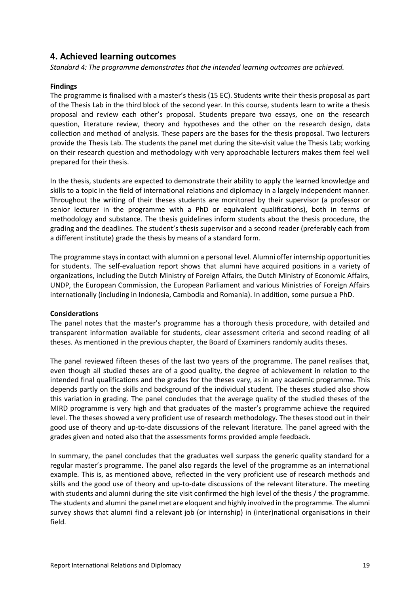## **4. Achieved learning outcomes**

*Standard 4: The programme demonstrates that the intended learning outcomes are achieved.*

#### **Findings**

The programme is finalised with a master's thesis (15 EC). Students write their thesis proposal as part of the Thesis Lab in the third block of the second year. In this course, students learn to write a thesis proposal and review each other's proposal. Students prepare two essays, one on the research question, literature review, theory and hypotheses and the other on the research design, data collection and method of analysis. These papers are the bases for the thesis proposal. Two lecturers provide the Thesis Lab. The students the panel met during the site-visit value the Thesis Lab; working on their research question and methodology with very approachable lecturers makes them feel well prepared for their thesis.

In the thesis, students are expected to demonstrate their ability to apply the learned knowledge and skills to a topic in the field of international relations and diplomacy in a largely independent manner. Throughout the writing of their theses students are monitored by their supervisor (a professor or senior lecturer in the programme with a PhD or equivalent qualifications), both in terms of methodology and substance. The thesis guidelines inform students about the thesis procedure, the grading and the deadlines. The student's thesis supervisor and a second reader (preferably each from a different institute) grade the thesis by means of a standard form.

The programme stays in contact with alumni on a personal level. Alumni offer internship opportunities for students. The self-evaluation report shows that alumni have acquired positions in a variety of organizations, including the Dutch Ministry of Foreign Affairs, the Dutch Ministry of Economic Affairs, UNDP, the European Commission, the European Parliament and various Ministries of Foreign Affairs internationally (including in Indonesia, Cambodia and Romania). In addition, some pursue a PhD.

#### **Considerations**

The panel notes that the master's programme has a thorough thesis procedure, with detailed and transparent information available for students, clear assessment criteria and second reading of all theses. As mentioned in the previous chapter, the Board of Examiners randomly audits theses.

The panel reviewed fifteen theses of the last two years of the programme. The panel realises that, even though all studied theses are of a good quality, the degree of achievement in relation to the intended final qualifications and the grades for the theses vary, as in any academic programme. This depends partly on the skills and background of the individual student. The theses studied also show this variation in grading. The panel concludes that the average quality of the studied theses of the MIRD programme is very high and that graduates of the master's programme achieve the required level. The theses showed a very proficient use of research methodology. The theses stood out in their good use of theory and up-to-date discussions of the relevant literature. The panel agreed with the grades given and noted also that the assessments forms provided ample feedback.

In summary, the panel concludes that the graduates well surpass the generic quality standard for a regular master's programme. The panel also regards the level of the programme as an international example. This is, as mentioned above, reflected in the very proficient use of research methods and skills and the good use of theory and up-to-date discussions of the relevant literature. The meeting with students and alumni during the site visit confirmed the high level of the thesis / the programme. The students and alumni the panel met are eloquent and highly involved in the programme. The alumni survey shows that alumni find a relevant job (or internship) in (inter)national organisations in their field.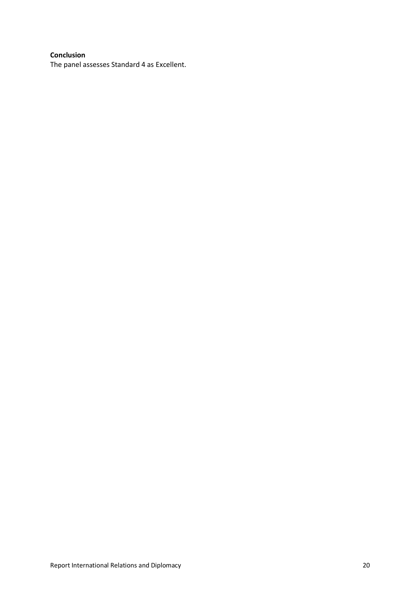#### **Conclusion**

The panel assesses Standard 4 as Excellent.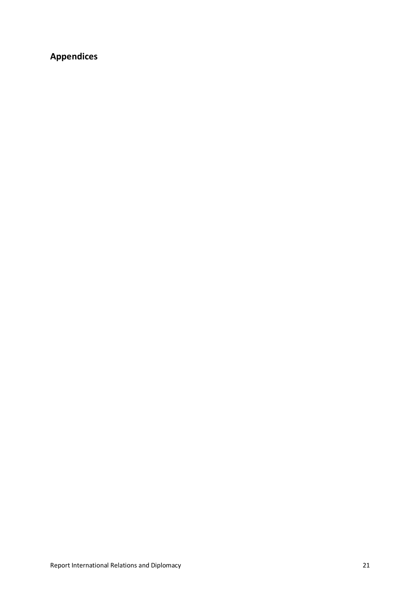## **Appendices**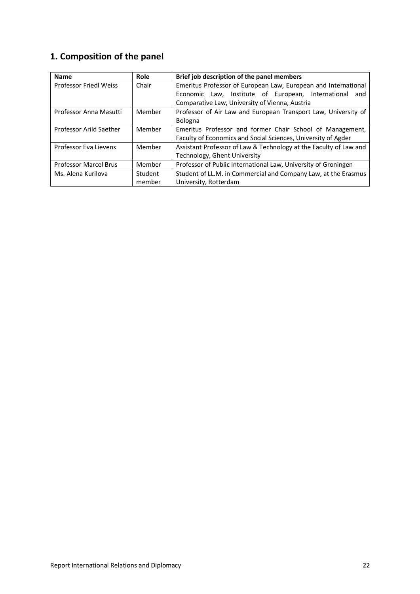## **1. Composition of the panel**

| <b>Name</b>                   | Role    | Brief job description of the panel members                        |  |  |
|-------------------------------|---------|-------------------------------------------------------------------|--|--|
| <b>Professor Friedl Weiss</b> | Chair   | Emeritus Professor of European Law, European and International    |  |  |
|                               |         | Economic Law, Institute of European, International<br>and         |  |  |
|                               |         | Comparative Law, University of Vienna, Austria                    |  |  |
| Professor Anna Masutti        | Member  | Professor of Air Law and European Transport Law, University of    |  |  |
|                               |         | Bologna                                                           |  |  |
| Professor Arild Saether       | Member  | Emeritus Professor and former Chair School of Management,         |  |  |
|                               |         | Faculty of Economics and Social Sciences, University of Agder     |  |  |
| Professor Eva Lievens         | Member  | Assistant Professor of Law & Technology at the Faculty of Law and |  |  |
|                               |         | Technology, Ghent University                                      |  |  |
| <b>Professor Marcel Brus</b>  | Member  | Professor of Public International Law, University of Groningen    |  |  |
| Ms. Alena Kurilova            | Student | Student of LL.M. in Commercial and Company Law, at the Erasmus    |  |  |
|                               | member  | University, Rotterdam                                             |  |  |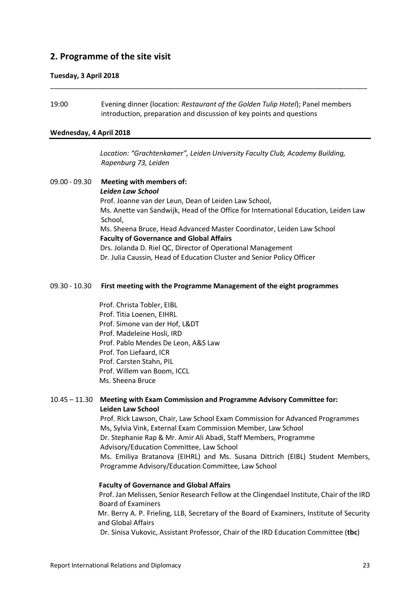## **2. Programme of the site visit**

#### **Tuesday, 3 April 2018**

19:00 Evening dinner (location: *Restaurant of the Golden Tulip Hotel*); Panel members introduction, preparation and discussion of key points and questions

\_\_\_\_\_\_\_\_\_\_\_\_\_\_\_\_\_\_\_\_\_\_\_\_\_\_\_\_\_\_\_\_\_\_\_\_\_\_\_\_\_\_\_\_\_\_\_\_\_\_\_\_\_\_\_\_\_\_\_\_\_\_\_\_\_\_\_\_\_\_\_\_\_\_\_\_\_\_\_\_\_\_

#### **Wednesday, 4 April 2018**

*Location: "Grachtenkamer", Leiden University Faculty Club, Academy Building, Rapenburg 73, Leiden*

09.00 - 09.30 **Meeting with members of:** *Leiden Law School* Prof. Joanne van der Leun, Dean of Leiden Law School, Ms. Anette van Sandwijk, Head of the Office for International Education, Leiden Law School, Ms. Sheena Bruce, Head Advanced Master Coordinator, Leiden Law School **Faculty of Governance and Global Affairs** Drs. Jolanda D. Riel QC, Director of Operational Management Dr. Julia Caussin, Head of Education Cluster and Senior Policy Officer

#### 09.30 - 10.30 **First meeting with the Programme Management of the eight programmes**

Prof. Christa Tobler, EIBL Prof. Titia Loenen, EIHRL Prof. Simone van der Hof, L&DT Prof. Madeleine Hosli, IRD Prof. Pablo Mendes De Leon, A&S Law Prof. Ton Liefaard, ICR Prof. Carsten Stahn, PIL Prof. Willem van Boom, ICCL Ms. Sheena Bruce

#### 10.45 – 11.30 **Meeting with Exam Commission and Programme Advisory Committee for: Leiden Law School**

Prof. Rick Lawson, Chair, Law School Exam Commission for Advanced Programmes Ms, Sylvia Vink, External Exam Commission Member, Law School Dr. Stephanie Rap & Mr. Amir Ali Abadi, Staff Members, Programme Advisory/Education Committee, Law School Ms. Emiliya Bratanova (EIHRL) and Ms. Susana Dittrich (EIBL) Student Members, Programme Advisory/Education Committee, Law School

#### **Faculty of Governance and Global Affairs**

Prof. Jan Melissen, Senior Research Fellow at the Clingendael Institute, Chair of the IRD Board of Examiners

Mr. Berry A. P. Frieling, LLB, Secretary of the Board of Examiners, Institute of Security and Global Affairs

Dr. Sinisa Vukovic, Assistant Professor, Chair of the IRD Education Committee (**tbc**)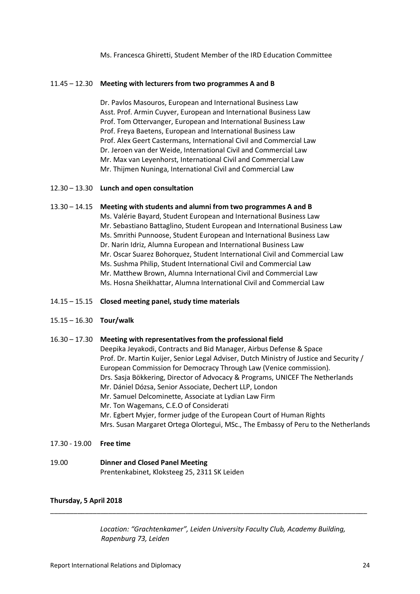Ms. Francesca Ghiretti, Student Member of the IRD Education Committee

#### 11.45 – 12.30 **Meeting with lecturers from two programmes A and B**

Dr. Pavlos Masouros, European and International Business Law Asst. Prof. Armin Cuyver, European and International Business Law Prof. Tom Ottervanger, European and International Business Law Prof. Freya Baetens, European and International Business Law Prof. Alex Geert Castermans, International Civil and Commercial Law Dr. Jeroen van der Weide, International Civil and Commercial Law Mr. Max van Leyenhorst, International Civil and Commercial Law Mr. Thijmen Nuninga, International Civil and Commercial Law

#### 12.30 – 13.30 **Lunch and open consultation**

#### 13.30 – 14.15 **Meeting with students and alumni from two programmes A and B**

Ms. Valérie Bayard, Student European and International Business Law Mr. Sebastiano Battaglino, Student European and International Business Law Ms. Smrithi Punnoose, Student European and International Business Law Dr. Narin Idriz, Alumna European and International Business Law Mr. Oscar Suarez Bohorquez, Student International Civil and Commercial Law Ms. Sushma Philip, Student International Civil and Commercial Law Mr. Matthew Brown, Alumna International Civil and Commercial Law Ms. Hosna Sheikhattar, Alumna International Civil and Commercial Law

#### 14.15 – 15.15 **Closed meeting panel, study time materials**

#### 15.15 – 16.30 **Tour/walk**

#### 16.30 – 17.30 **Meeting with representatives from the professional field**

Deepika Jeyakodi, Contracts and Bid Manager, Airbus Defense & Space Prof. Dr. Martin Kuijer, Senior Legal Adviser, Dutch Ministry of Justice and Security / European Commission for Democracy Through Law (Venice commission). Drs. Sasja Bökkering, Director of Advocacy & Programs, UNICEF The Netherlands Mr. Dániel Dózsa, Senior Associate, Dechert LLP, London Mr. Samuel Delcominette, Associate at Lydian Law Firm Mr. Ton Wagemans, C.E.O of Considerati Mr. Egbert Myjer, former judge of the European Court of Human Rights Mrs. Susan Margaret Ortega Olortegui, MSc., The Embassy of Peru to the Netherlands

17.30 - 19.00 **Free time**

#### 19.00 **Dinner and Closed Panel Meeting** Prentenkabinet, Kloksteeg 25, 2311 SK Leiden

#### **Thursday, 5 April 2018**

*Location: "Grachtenkamer", Leiden University Faculty Club, Academy Building, Rapenburg 73, Leiden*

\_\_\_\_\_\_\_\_\_\_\_\_\_\_\_\_\_\_\_\_\_\_\_\_\_\_\_\_\_\_\_\_\_\_\_\_\_\_\_\_\_\_\_\_\_\_\_\_\_\_\_\_\_\_\_\_\_\_\_\_\_\_\_\_\_\_\_\_\_\_\_\_\_\_\_\_\_\_\_\_\_\_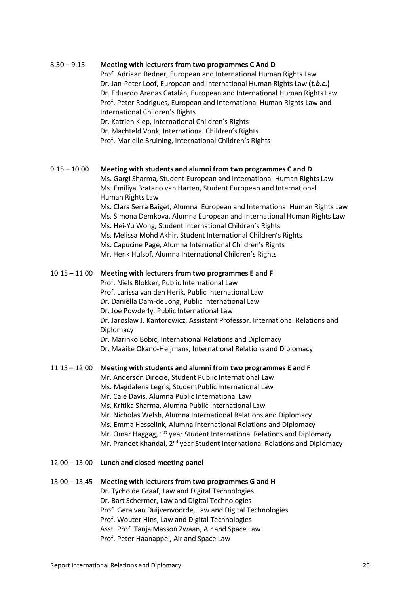#### 8.30 – 9.15 **Meeting with lecturers from two programmes C And D**

Prof. Adriaan Bedner, European and International Human Rights Law Dr. Jan-Peter Loof, European and International Human Rights Law **(***t.b.c***.)** Dr. Eduardo Arenas Catalán, European and International Human Rights Law Prof. Peter Rodrigues, European and International Human Rights Law and International Children's Rights

Dr. Katrien Klep, International Children's Rights Dr. Machteld Vonk, International Children's Rights Prof. Marielle Bruining, International Children's Rights

#### 9.15 – 10.00 **Meeting with students and alumni from two programmes C and D**

Ms. Gargi Sharma, Student European and International Human Rights Law Ms. Emiliya Bratano van Harten, Student European and International Human Rights Law

Ms. Clara Serra Baiget, Alumna European and International Human Rights Law Ms. Simona Demkova, Alumna European and International Human Rights Law Ms. Hei-Yu Wong, Student International Children's Rights Ms. Melissa Mohd Akhir, Student International Children's Rights

- Ms. Capucine Page, Alumna International Children's Rights
- Mr. Henk Hulsof, Alumna International Children's Rights

#### 10.15 – 11.00 **Meeting with lecturers from two programmes E and F**

Prof. Niels Blokker, Public International Law

Prof. Larissa van den Herik, Public International Law

Dr. Daniëlla Dam-de Jong, Public International Law

Dr. Joe Powderly, Public International Law

Dr. Jaroslaw J. Kantorowicz, Assistant Professor. International Relations and **Diplomacy** 

Dr. Marinko Bobic, International Relations and Diplomacy

Dr. Maaike Okano-Heijmans, International Relations and Diplomacy

#### 11.15 – 12.00 **Meeting with students and alumni from two programmes E and F**

Mr. Anderson Dirocie, Student Public International Law

Ms. Magdalena Legris, StudentPublic International Law

Mr. Cale Davis, Alumna Public International Law

Ms. Kritika Sharma, Alumna Public International Law

Mr. Nicholas Welsh, Alumna International Relations and Diplomacy

Ms. Emma Hesselink, Alumna International Relations and Diplomacy

Mr. Omar Haggag, 1<sup>st</sup> year Student International Relations and Diplomacy

Mr. Praneet Khandal, 2<sup>nd</sup> year Student International Relations and Diplomacy

#### 12.00 – 13.00 **Lunch and closed meeting panel**

#### 13.00 – 13.45 **Meeting with lecturers from two programmes G and H**

Dr. Tycho de Graaf, Law and Digital Technologies Dr. Bart Schermer, Law and Digital Technologies Prof. Gera van Duijvenvoorde, Law and Digital Technologies Prof. Wouter Hins, Law and Digital Technologies Asst. Prof. Tanja Masson Zwaan, Air and Space Law

Prof. Peter Haanappel, Air and Space Law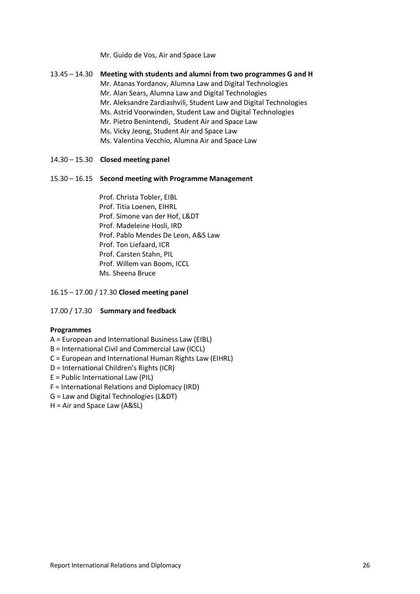Mr. Guido de Vos, Air and Space Law

| 13.45 – 14.30 | Meeting with students and alumni from two programmes G and H<br>Mr. Atanas Yordanov, Alumna Law and Digital Technologies<br>Mr. Alan Sears, Alumna Law and Digital Technologies<br>Mr. Aleksandre Zardiashvili, Student Law and Digital Technologies<br>Ms. Astrid Voorwinden, Student Law and Digital Technologies<br>Mr. Pietro Benintendi, Student Air and Space Law |
|---------------|-------------------------------------------------------------------------------------------------------------------------------------------------------------------------------------------------------------------------------------------------------------------------------------------------------------------------------------------------------------------------|
|               | Ms. Vicky Jeong, Student Air and Space Law<br>Ms. Valentina Vecchio, Alumna Air and Space Law                                                                                                                                                                                                                                                                           |

#### 14.30 – 15.30 **Closed meeting panel**

#### 15.30 – 16.15 **Second meeting with Programme Management**

Prof. Christa Tobler, EIBL Prof. Titia Loenen, EIHRL Prof. Simone van der Hof, L&DT Prof. Madeleine Hosli, IRD Prof. Pablo Mendes De Leon, A&S Law Prof. Ton Liefaard, ICR Prof. Carsten Stahn, PIL Prof. Willem van Boom, ICCL Ms. Sheena Bruce

#### 16.15 – 17.00 / 17.30 **Closed meeting panel**

#### 17.00 / 17.30 **Summary and feedback**

#### **Programmes**

#### A = European and International Business Law (EIBL)

- B = International Civil and Commercial Law (ICCL)
- C = European and International Human Rights Law (EIHRL)
- D = International Children's Rights (ICR)
- E = Public International Law (PIL)
- F = International Relations and Diplomacy (IRD)

#### G = Law and Digital Technologies (L&DT)

H = Air and Space Law (A&SL)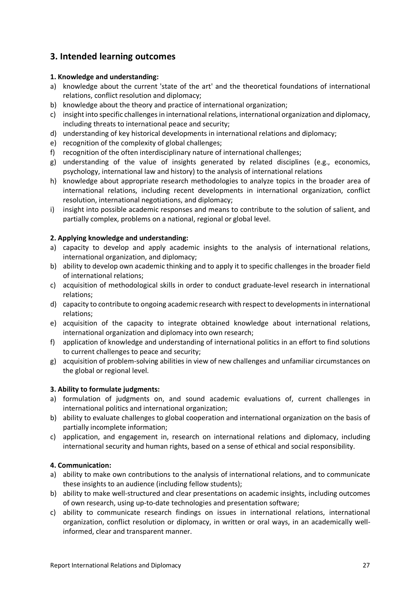## **3. Intended learning outcomes**

#### **1. Knowledge and understanding:**

- a) knowledge about the current 'state of the art' and the theoretical foundations of international relations, conflict resolution and diplomacy;
- b) knowledge about the theory and practice of international organization;
- c) insight into specific challenges in international relations, international organization and diplomacy, including threats to international peace and security;
- d) understanding of key historical developments in international relations and diplomacy;
- e) recognition of the complexity of global challenges;
- f) recognition of the often interdisciplinary nature of international challenges;
- g) understanding of the value of insights generated by related disciplines (e.g., economics, psychology, international law and history) to the analysis of international relations
- h) knowledge about appropriate research methodologies to analyze topics in the broader area of international relations, including recent developments in international organization, conflict resolution, international negotiations, and diplomacy;
- i) insight into possible academic responses and means to contribute to the solution of salient, and partially complex, problems on a national, regional or global level.

#### **2. Applying knowledge and understanding:**

- a) capacity to develop and apply academic insights to the analysis of international relations, international organization, and diplomacy;
- b) ability to develop own academic thinking and to apply it to specific challenges in the broader field of international relations;
- c) acquisition of methodological skills in order to conduct graduate-level research in international relations;
- d) capacity to contribute to ongoing academic research with respect to developments in international relations;
- e) acquisition of the capacity to integrate obtained knowledge about international relations, international organization and diplomacy into own research;
- f) application of knowledge and understanding of international politics in an effort to find solutions to current challenges to peace and security;
- g) acquisition of problem-solving abilities in view of new challenges and unfamiliar circumstances on the global or regional level.

#### **3. Ability to formulate judgments:**

- a) formulation of judgments on, and sound academic evaluations of, current challenges in international politics and international organization;
- b) ability to evaluate challenges to global cooperation and international organization on the basis of partially incomplete information;
- c) application, and engagement in, research on international relations and diplomacy, including international security and human rights, based on a sense of ethical and social responsibility.

#### **4. Communication:**

- a) ability to make own contributions to the analysis of international relations, and to communicate these insights to an audience (including fellow students);
- b) ability to make well-structured and clear presentations on academic insights, including outcomes of own research, using up-to-date technologies and presentation software;
- c) ability to communicate research findings on issues in international relations, international organization, conflict resolution or diplomacy, in written or oral ways, in an academically wellinformed, clear and transparent manner.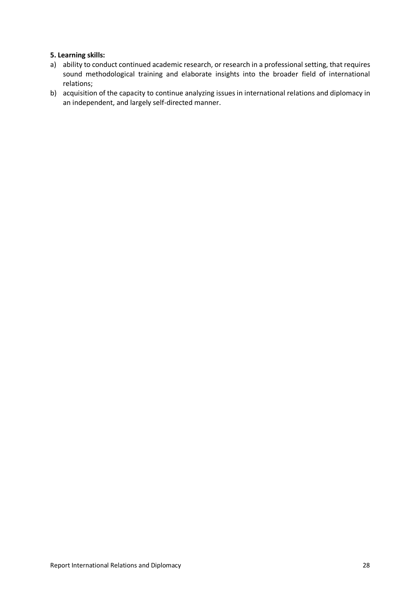#### **5. Learning skills:**

- a) ability to conduct continued academic research, or research in a professional setting, that requires sound methodological training and elaborate insights into the broader field of international relations;
- b) acquisition of the capacity to continue analyzing issues in international relations and diplomacy in an independent, and largely self-directed manner.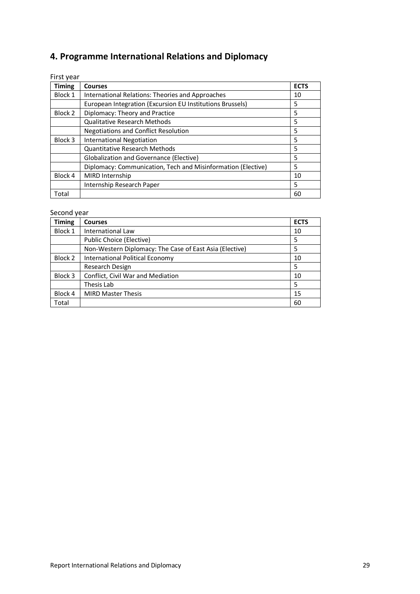## **4. Programme International Relations and Diplomacy**

First year

| <b>Timing</b> | <b>Courses</b>                                               | <b>ECTS</b> |  |
|---------------|--------------------------------------------------------------|-------------|--|
| Block 1       | International Relations: Theories and Approaches             |             |  |
|               | European Integration (Excursion EU Institutions Brussels)    | 5           |  |
| Block 2       | Diplomacy: Theory and Practice                               | 5           |  |
|               | <b>Qualitative Research Methods</b>                          | 5           |  |
|               | <b>Negotiations and Conflict Resolution</b>                  | 5           |  |
| Block 3       | <b>International Negotiation</b>                             | 5           |  |
|               | <b>Quantitative Research Methods</b>                         | 5           |  |
|               | <b>Globalization and Governance (Elective)</b>               | 5           |  |
|               | Diplomacy: Communication, Tech and Misinformation (Elective) | 5           |  |
| Block 4       | MIRD Internship                                              | 10          |  |
|               | Internship Research Paper                                    | 5           |  |
| Total         |                                                              | 60          |  |

### Second year

| <b>Timing</b> | <b>Courses</b>                                          | <b>ECTS</b> |
|---------------|---------------------------------------------------------|-------------|
| Block 1       | <b>International Law</b>                                | 10          |
|               | Public Choice (Elective)                                | 5           |
|               | Non-Western Diplomacy: The Case of East Asia (Elective) | 5           |
| Block 2       | International Political Economy                         | 10          |
|               | Research Design                                         | 5           |
| Block 3       | Conflict, Civil War and Mediation                       | 10          |
|               | Thesis Lab                                              | 5           |
| Block 4       | <b>MIRD Master Thesis</b>                               | 15          |
| Total         |                                                         | 60          |